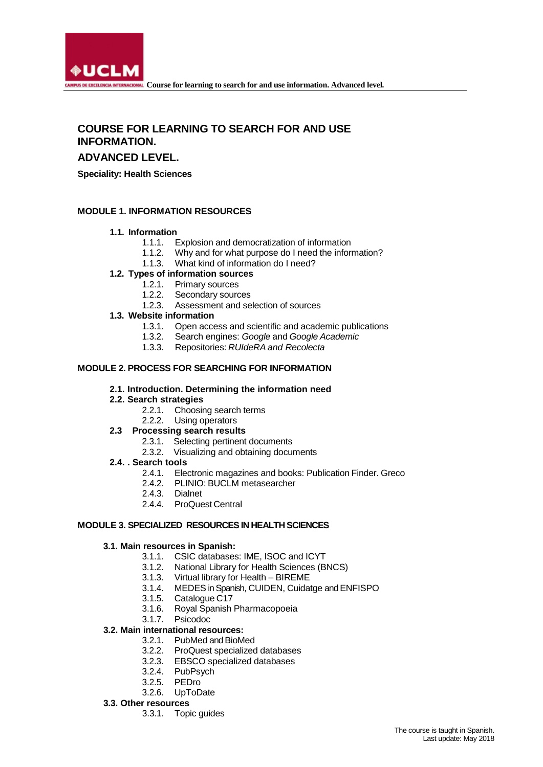

# **COURSE FOR LEARNING TO SEARCH FOR AND USE INFORMATION.**

# **ADVANCED LEVEL.**

**Speciality: Health Sciences**

### **MODULE 1. INFORMATION RESOURCES**

#### **1.1. Information**

- 
- 1.1.1. Explosion and democratization of information Why and for what purpose do I need the information?
- 1.1.3. What kind of information do I need?

# **1.2. Types of information sources**

- 1.2.1. Primary sources
- 1.2.2. Secondary sources
- 1.2.3. Assessment and selection of sources

## **1.3. Website information**

- 1.3.1. Open access and scientific and academic publications
- 1.3.2. Search engines: *Google* and *Google Academic*
- 1.3.3. Repositories: *RUIdeRA and Recolecta*

#### **MODULE 2. PROCESS FOR SEARCHING FOR INFORMATION**

#### **2.1. Introduction. Determining the information need**

- **2.2. Search strategies**
	- 2.2.1. Choosing search terms
	- 2.2.2. Using operators

#### **2.3 Processing search results**

- 2.3.1. Selecting pertinent documents
- 2.3.2. Visualizing and obtaining documents
- **2.4. . Search tools**
	- 2.4.1. Electronic magazines and books: Publication Finder. Greco
	- 2.4.2. PLINIO: BUCLM metasearcher
	- 2.4.3. Dialnet
	- 2.4.4. ProQuest Central

#### **MODULE 3. SPECIALIZED RESOURCES IN HEALTH SCIENCES**

#### **3.1. Main resources in Spanish:**

- 3.1.1. CSIC databases: IME, ISOC and ICYT<br>3.1.2. National Library for Health Sciences (B)
- National Library for Health Sciences (BNCS)
- 3.1.3. Virtual library for Health BIREME<br>3.1.4. MEDES in Spanish, CUIDEN, Cuida
- 3.1.4. MEDES in Spanish, CUIDEN, Cuidatge and ENFISPO<br>3.1.5. Catalogue C17<br>3.1.6. Royal Spanish Pharmacopoeia
- Catalogue C17
- 3.1.6. Royal Spanish Pharmacopoeia
- 3.1.7. Psicodoc

#### **3.2. Main international resources:**

- 3.2.1. PubMed and BioMed
- 3.2.2. ProQuest specialized databases
- 3.2.3. EBSCO specialized databases
- 3.2.4. PubPsych
- 3.2.5. PEDro
- 3.2.6. UpToDate
- **3.3. Other resources**
	- 3.3.1. Topic guides